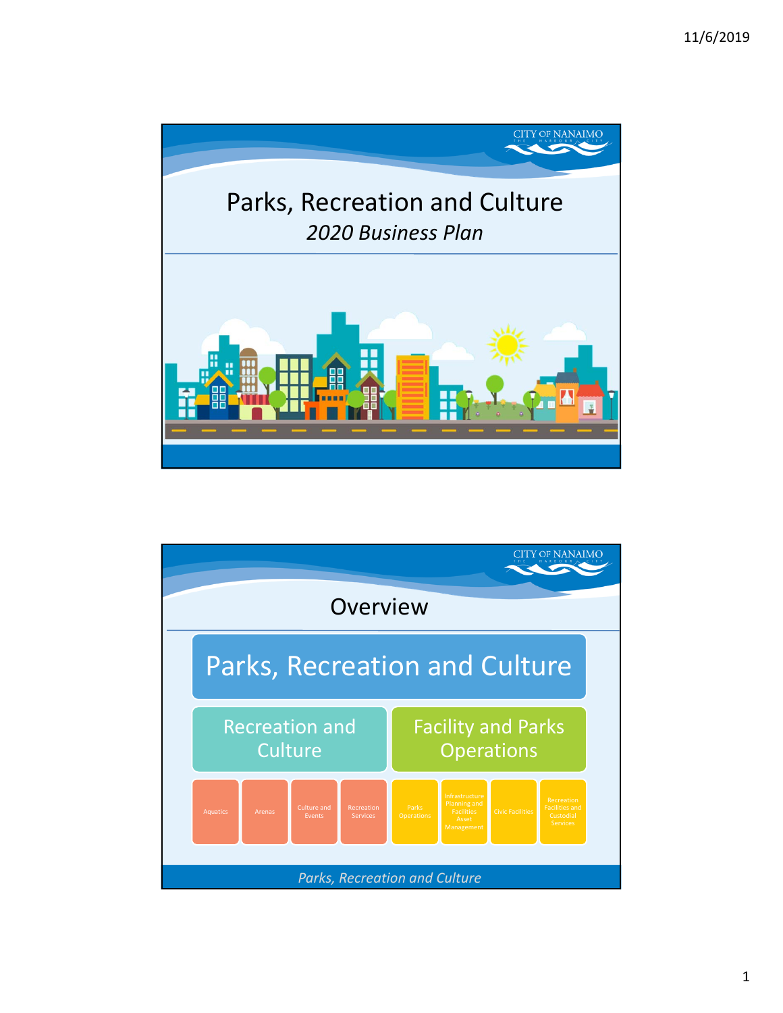

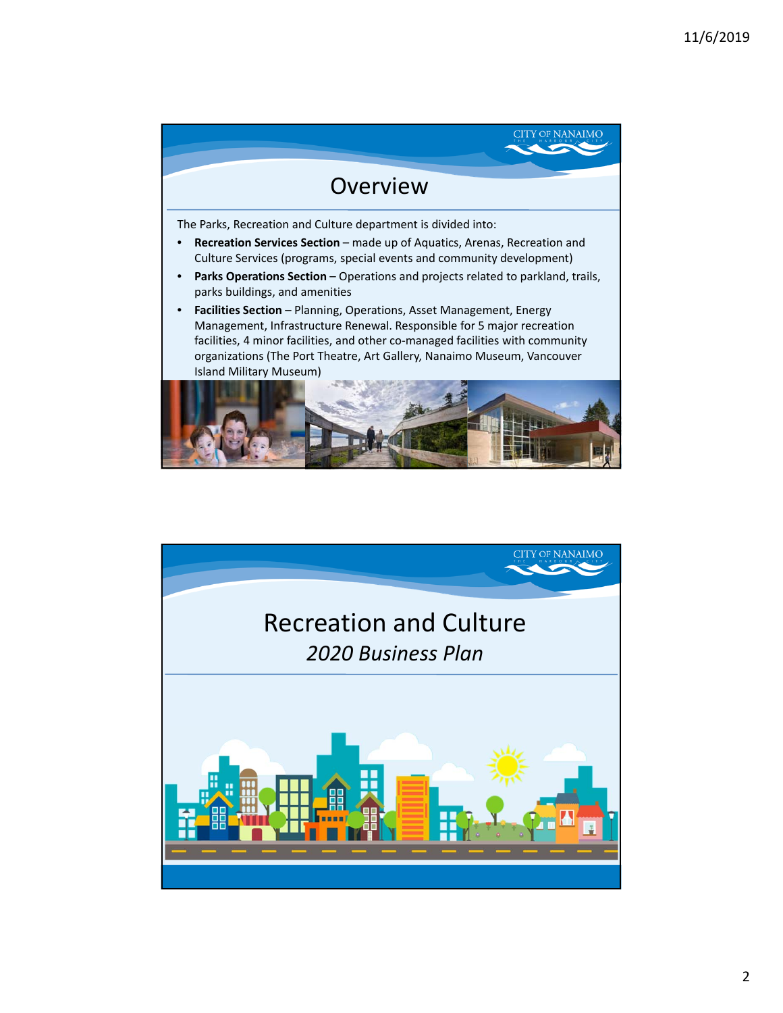

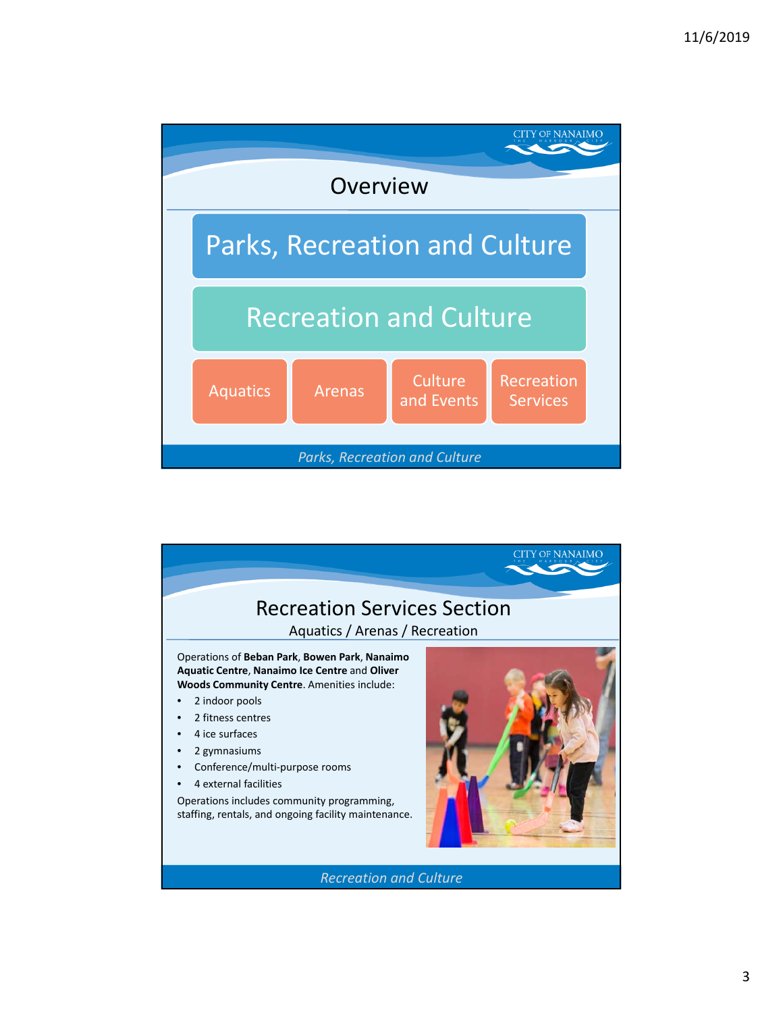

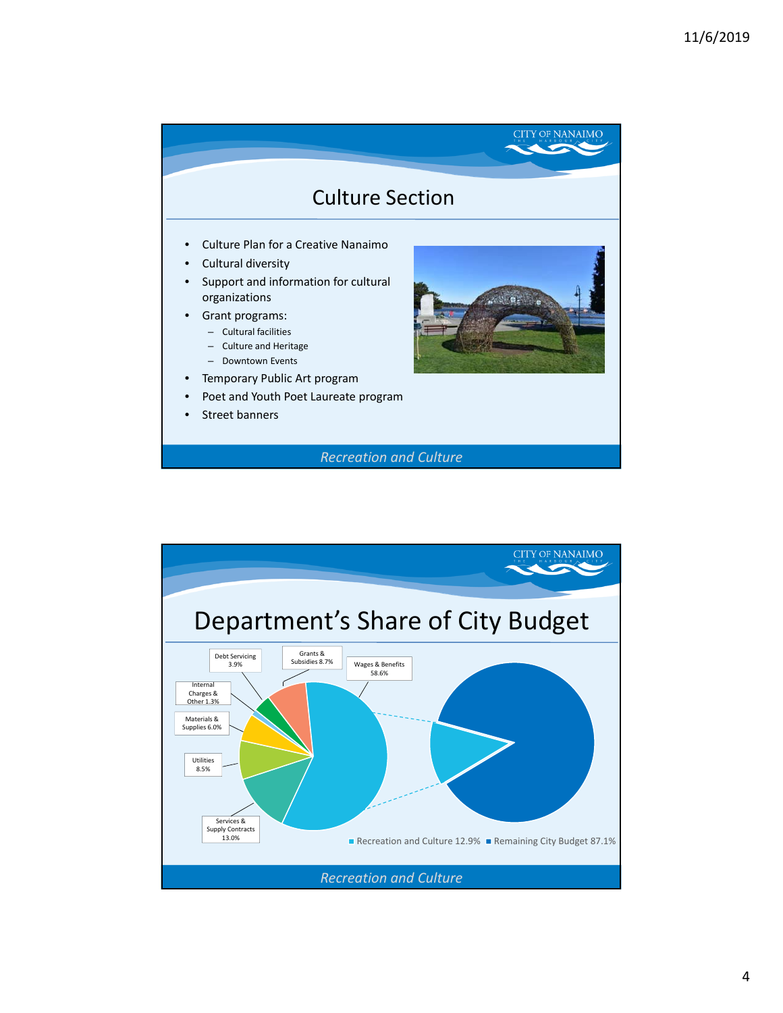

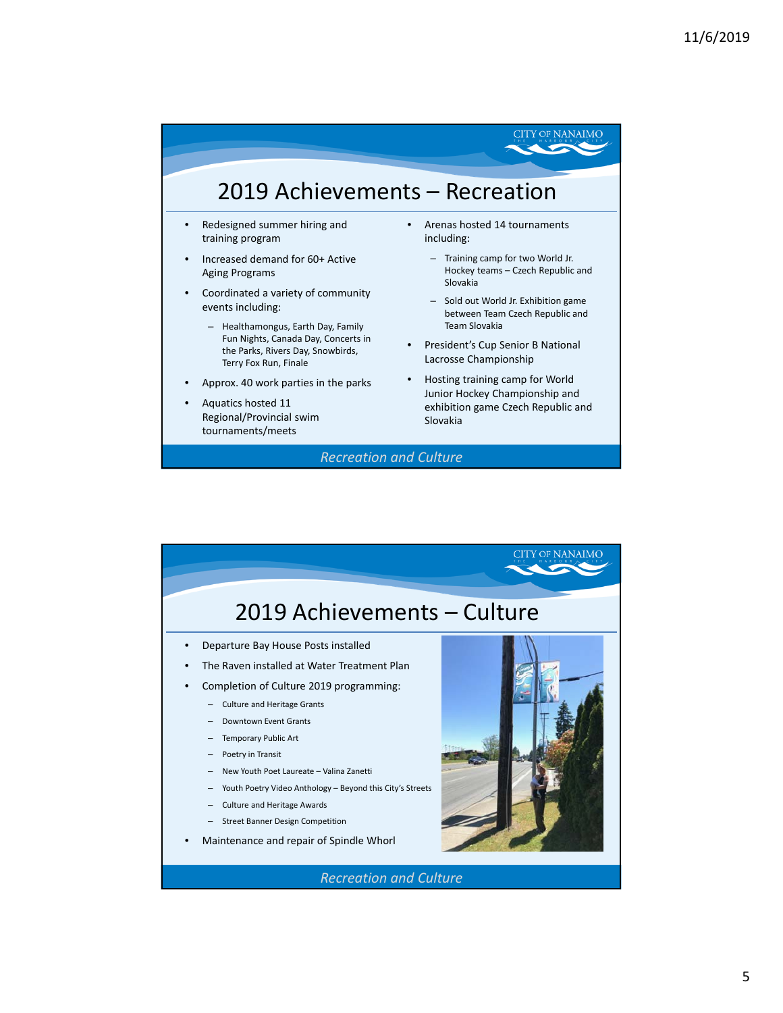## 2019 Achievements – Recreation

- Redesigned summer hiring and training program
- Increased demand for 60+ Active Aging Programs
- Coordinated a variety of community events including:
	- Healthamongus, Earth Day, Family Fun Nights, Canada Day, Concerts in the Parks, Rivers Day, Snowbirds, Terry Fox Run, Finale
- Approx. 40 work parties in the parks
- Aquatics hosted 11 Regional/Provincial swim tournaments/meets
- Arenas hosted 14 tournaments including:
	- Training camp for two World Jr. Hockey teams – Czech Republic and Slovakia

**CITY OF NANAIMO** 

- Sold out World Jr. Exhibition game between Team Czech Republic and Team Slovakia
- President's Cup Senior B National Lacrosse Championship
- Hosting training camp for World Junior Hockey Championship and exhibition game Czech Republic and Slovakia

*Recreation and Culture*

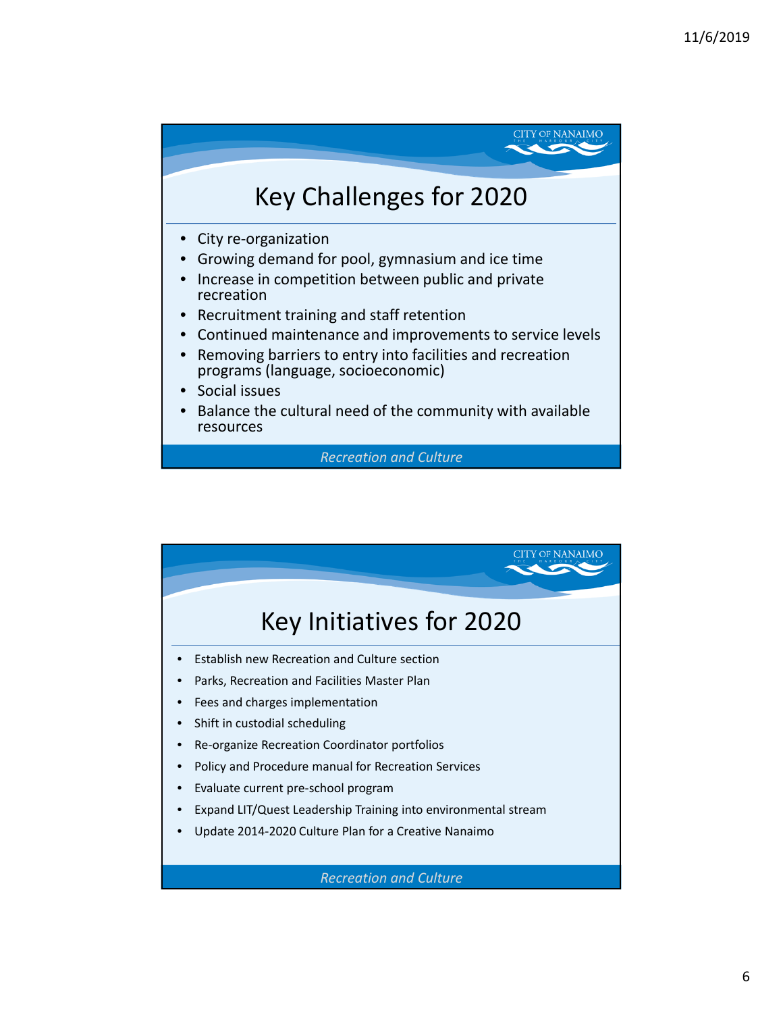

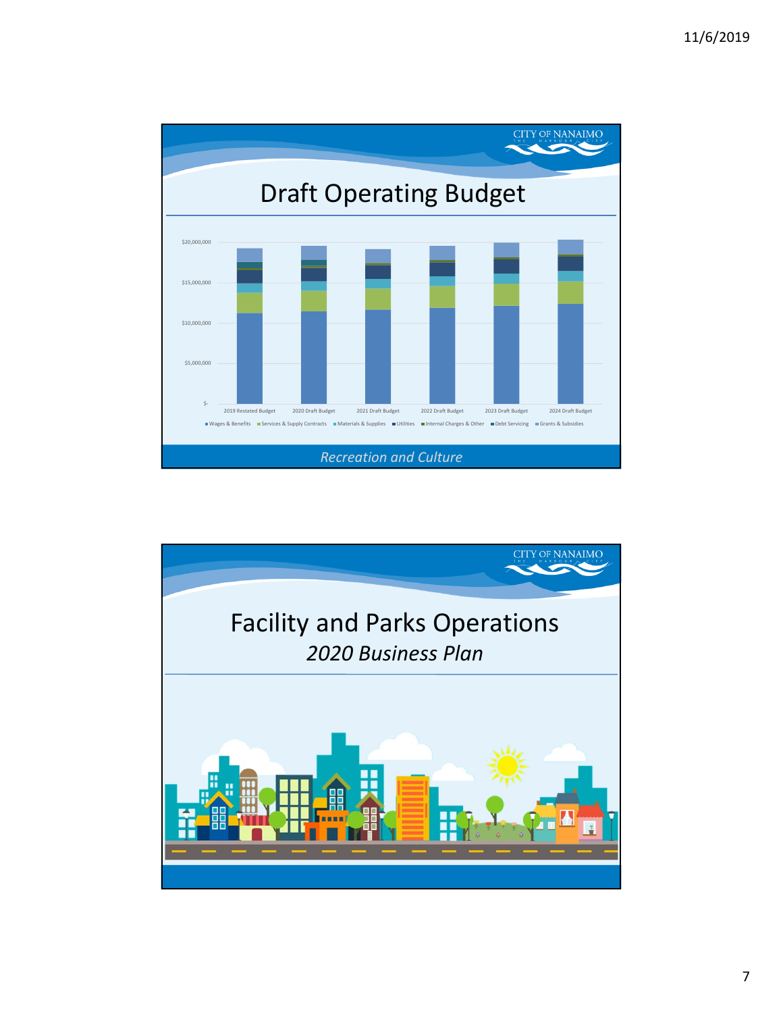

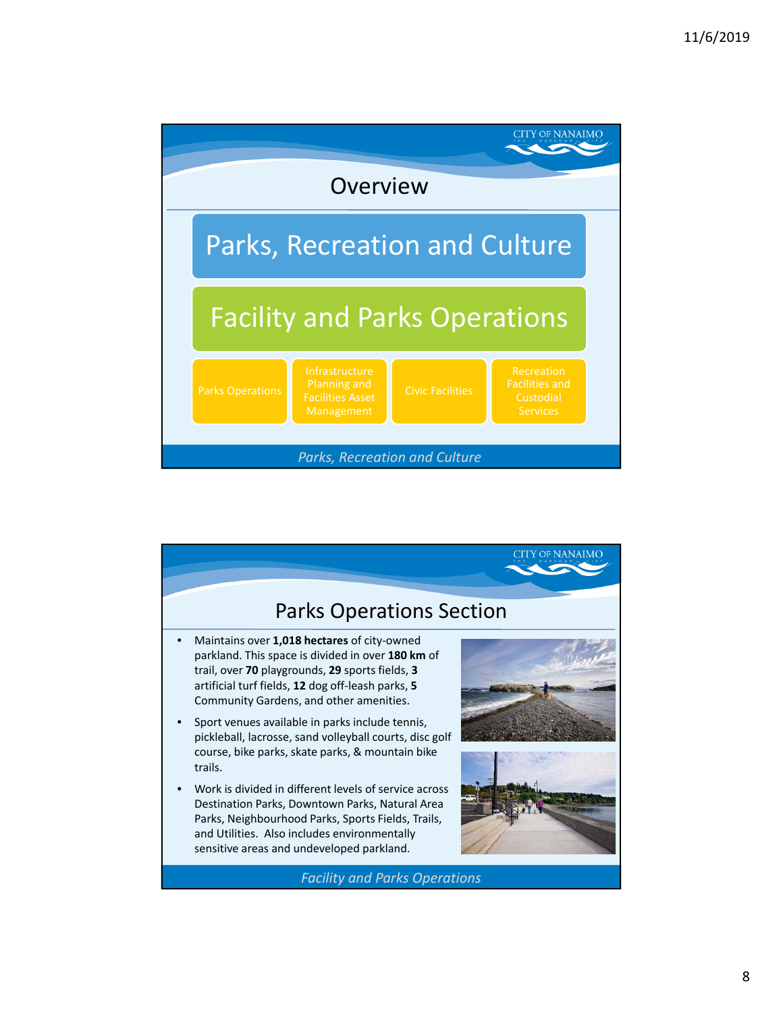

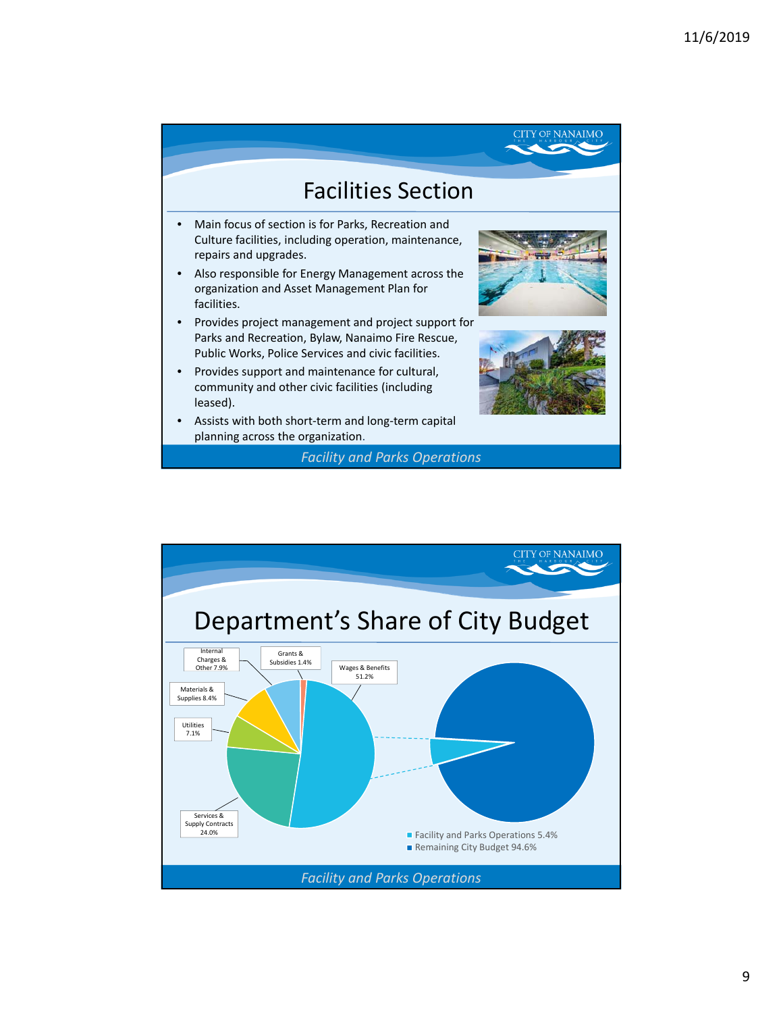

*Facility and Parks Operations*

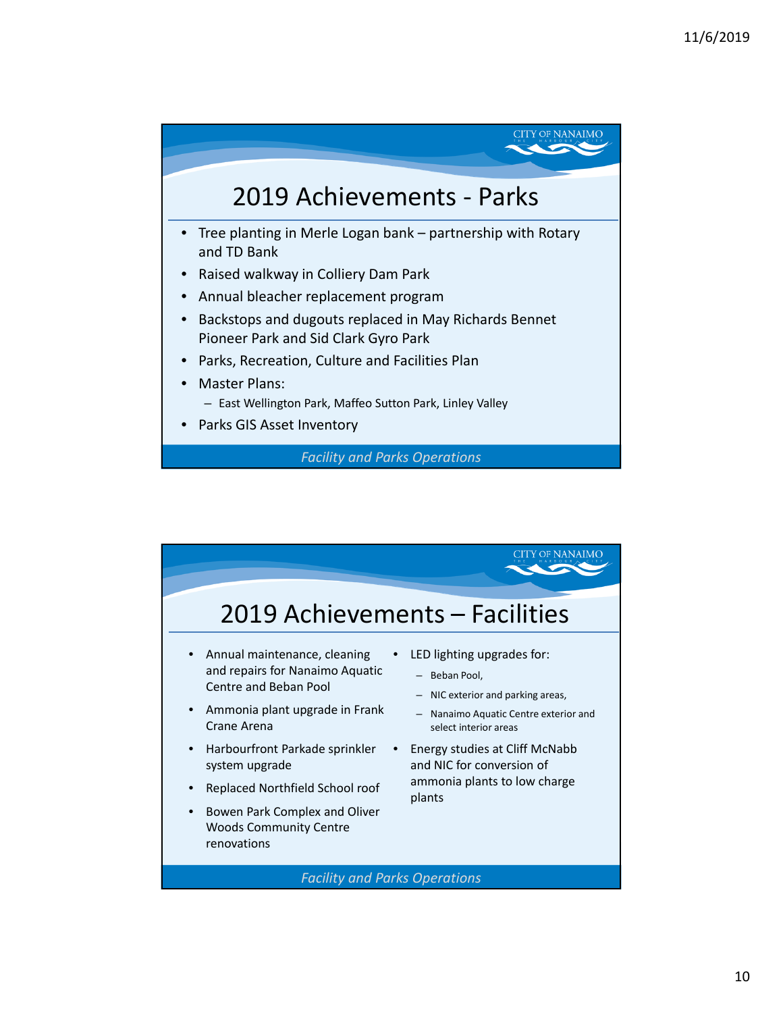

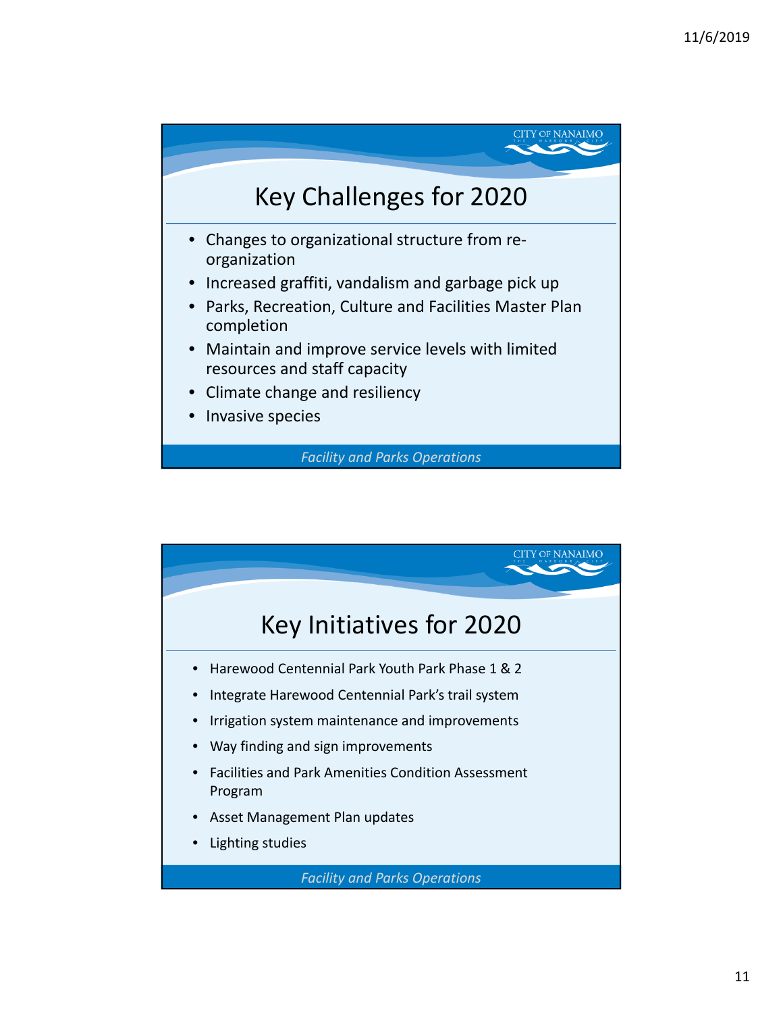